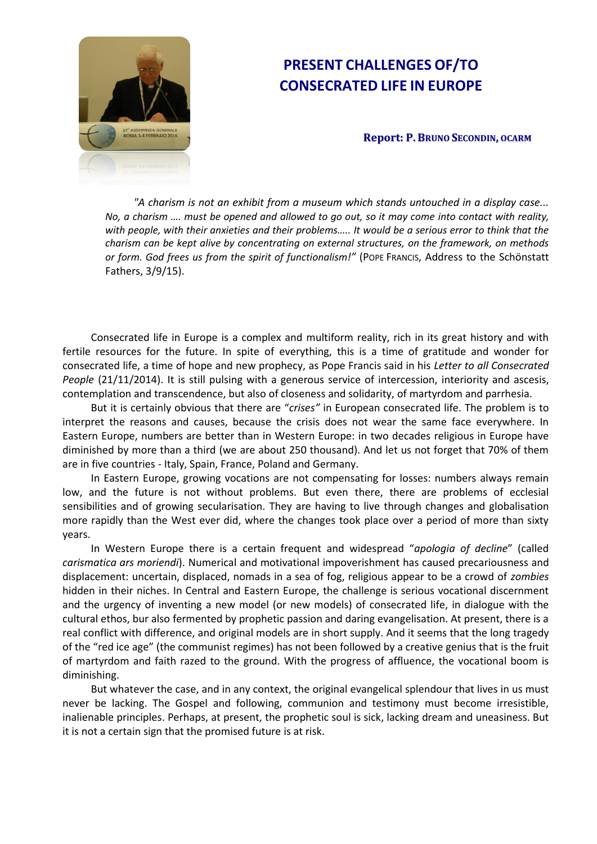

# **PRESENT CHALLENGES OF/TO CONSECRATED LIFE IN EUROPE**

# **Report: P. BRUNO SECONDIN, OCARM**

*"A charism is not an exhibit from a museum which stands untouched in a display case... No, a charism …. must be opened and allowed to go out, so it may come into contact with reality, with people, with their anxieties and their problems….. It would be a serious error to think that the charism can be kept alive by concentrating on external structures, on the framework, on methods or form. God frees us from the spirit of functionalism!"* (POPE FRANCIS, Address to the Schönstatt Fathers, 3/9/15).

Consecrated life in Europe is a complex and multiform reality, rich in its great history and with fertile resources for the future. In spite of everything, this is a time of gratitude and wonder for consecrated life, a time of hope and new prophecy, as Pope Francis said in his *Letter to all Consecrated People* (21/11/2014). It is still pulsing with a generous service of intercession, interiority and ascesis, contemplation and transcendence, but also of closeness and solidarity, of martyrdom and parrhesia.

But it is certainly obvious that there are "*crises"* in European consecrated life. The problem is to interpret the reasons and causes, because the crisis does not wear the same face everywhere. In Eastern Europe, numbers are better than in Western Europe: in two decades religious in Europe have diminished by more than a third (we are about 250 thousand). And let us not forget that 70% of them are in five countries - Italy, Spain, France, Poland and Germany.

In Eastern Europe, growing vocations are not compensating for losses: numbers always remain low, and the future is not without problems. But even there, there are problems of ecclesial sensibilities and of growing secularisation. They are having to live through changes and globalisation more rapidly than the West ever did, where the changes took place over a period of more than sixty years.

In Western Europe there is a certain frequent and widespread "*apologia of decline*" (called *carismatica ars moriendi*). Numerical and motivational impoverishment has caused precariousness and displacement: uncertain, displaced, nomads in a sea of fog, religious appear to be a crowd of *zombies* hidden in their niches. In Central and Eastern Europe, the challenge is serious vocational discernment and the urgency of inventing a new model (or new models) of consecrated life, in dialogue with the cultural ethos, bur also fermented by prophetic passion and daring evangelisation. At present, there is a real conflict with difference, and original models are in short supply. And it seems that the long tragedy of the "red ice age" (the communist regimes) has not been followed by a creative genius that is the fruit of martyrdom and faith razed to the ground. With the progress of affluence, the vocational boom is diminishing.

But whatever the case, and in any context, the original evangelical splendour that lives in us must never be lacking. The Gospel and following, communion and testimony must become irresistible, inalienable principles. Perhaps, at present, the prophetic soul is sick, lacking dream and uneasiness. But it is not a certain sign that the promised future is at risk.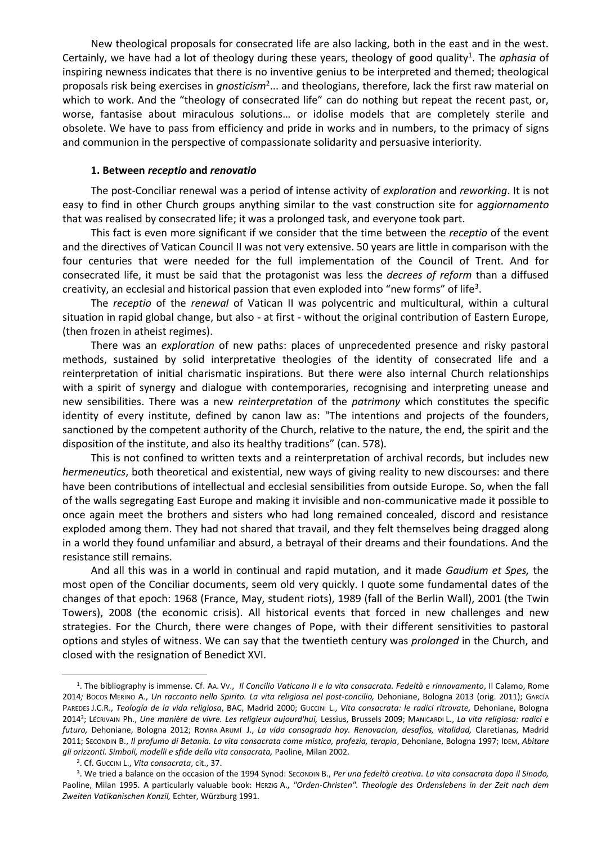New theological proposals for consecrated life are also lacking, both in the east and in the west. Certainly, we have had a lot of theology during these years, theology of good quality<sup>1</sup>. The *aphasia* of inspiring newness indicates that there is no inventive genius to be interpreted and themed; theological proposals risk being exercises in *gnosticism*<sup>2</sup> ... and theologians, therefore, lack the first raw material on which to work. And the "theology of consecrated life" can do nothing but repeat the recent past, or, worse, fantasise about miraculous solutions… or idolise models that are completely sterile and obsolete. We have to pass from efficiency and pride in works and in numbers, to the primacy of signs and communion in the perspective of compassionate solidarity and persuasive interiority.

### **1. Between** *receptio* **and** *renovatio*

The post-Conciliar renewal was a period of intense activity of *exploration* and *reworking*. It is not easy to find in other Church groups anything similar to the vast construction site for a*ggiornamento* that was realised by consecrated life; it was a prolonged task, and everyone took part.

This fact is even more significant if we consider that the time between the *receptio* of the event and the directives of Vatican Council II was not very extensive. 50 years are little in comparison with the four centuries that were needed for the full implementation of the Council of Trent. And for consecrated life, it must be said that the protagonist was less the *decrees of reform* than a diffused creativity, an ecclesial and historical passion that even exploded into "new forms" of life<sup>3</sup>.

The *receptio* of the *renewal* of Vatican II was polycentric and multicultural, within a cultural situation in rapid global change, but also - at first - without the original contribution of Eastern Europe, (then frozen in atheist regimes).

There was an *exploration* of new paths: places of unprecedented presence and risky pastoral methods, sustained by solid interpretative theologies of the identity of consecrated life and a reinterpretation of initial charismatic inspirations. But there were also internal Church relationships with a spirit of synergy and dialogue with contemporaries, recognising and interpreting unease and new sensibilities. There was a new *reinterpretation* of the *patrimony* which constitutes the specific identity of every institute, defined by canon law as: "The intentions and projects of the founders, sanctioned by the competent authority of the Church, relative to the nature, the end, the spirit and the disposition of the institute, and also its healthy traditions" (can. 578).

This is not confined to written texts and a reinterpretation of archival records, but includes new *hermeneutics*, both theoretical and existential, new ways of giving reality to new discourses: and there have been contributions of intellectual and ecclesial sensibilities from outside Europe. So, when the fall of the walls segregating East Europe and making it invisible and non-communicative made it possible to once again meet the brothers and sisters who had long remained concealed, discord and resistance exploded among them. They had not shared that travail, and they felt themselves being dragged along in a world they found unfamiliar and absurd, a betrayal of their dreams and their foundations. And the resistance still remains.

And all this was in a world in continual and rapid mutation, and it made *Gaudium et Spes,* the most open of the Conciliar documents, seem old very quickly. I quote some fundamental dates of the changes of that epoch: 1968 (France, May, student riots), 1989 (fall of the Berlin Wall), 2001 (the Twin Towers), 2008 (the economic crisis). All historical events that forced in new challenges and new strategies. For the Church, there were changes of Pope, with their different sensitivities to pastoral options and styles of witness. We can say that the twentieth century was *prolonged* in the Church, and closed with the resignation of Benedict XVI.

<sup>1</sup> . The bibliography is immense. Cf. AA. VV., *Il Concilio Vaticano II e la vita consacrata. Fedeltà e rinnovamento*, Il Calamo, Rome 2014*;* BOCOS MERINO A., *Un racconto nello Spirito. La vita religiosa nel post-concilio,* Dehoniane, Bologna 2013 (orig. 2011); GARCÍA PAREDES J.C.R., *Teología de la vida religiosa*, BAC, Madrid 2000; GUCCINI L., *Vita consacrata: le radici ritrovate,* Dehoniane, Bologna 2014<sup>3</sup> ; LÉCRIVAIN Ph., *Une manière de vivre. Les religieux aujourd'hui,* Lessius, Brussels 2009; MANICARDI L., *La vita religiosa: radici e futuro,* Dehoniane, Bologna 2012; ROVIRA ARUMÍ J., *La vida consagrada hoy. Renovacion, desafíos, vitalidad,* Claretianas, Madrid 2011; SECONDIN B., *Il profumo di Betania. La vita consacrata come mistica, profezia, terapia*, Dehoniane, Bologna 1997; IDEM, *Abitare gli orizzonti. Simboli, modelli e sfide della vita consacrata,* Paoline, Milan 2002.

<sup>2</sup> . Cf. GUCCINI L., *Vita consacrata*, cit., 37.

<sup>3</sup> . We tried a balance on the occasion of the 1994 Synod: SECONDIN B., *Per una fedeltà creativa. La vita consacrata dopo il Sinodo,* Paoline, Milan 1995. A particularly valuable book: HERZIG A., *"Orden-Christen". Theologie des Ordenslebens in der Zeit nach dem Zweiten Vatikanischen Konzil,* Echter, Würzburg 1991.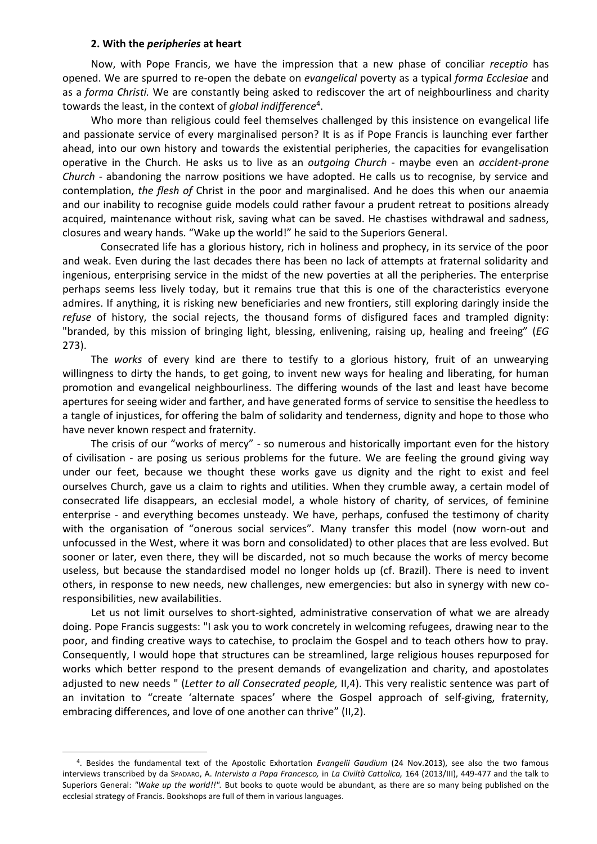### **2. With the** *peripheries* **at heart**

 $\overline{a}$ 

Now, with Pope Francis, we have the impression that a new phase of conciliar *receptio* has opened. We are spurred to re-open the debate on *evangelical* poverty as a typical *forma Ecclesiae* and as a *forma Christi.* We are constantly being asked to rediscover the art of neighbourliness and charity towards the least, in the context of *global indifference*<sup>4</sup> .

Who more than religious could feel themselves challenged by this insistence on evangelical life and passionate service of every marginalised person? It is as if Pope Francis is launching ever farther ahead, into our own history and towards the existential peripheries, the capacities for evangelisation operative in the Church. He asks us to live as an *outgoing Church* - maybe even an *accident*-*prone Church -* abandoning the narrow positions we have adopted. He calls us to recognise, by service and contemplation, *the flesh of* Christ in the poor and marginalised. And he does this when our anaemia and our inability to recognise guide models could rather favour a prudent retreat to positions already acquired, maintenance without risk, saving what can be saved. He chastises withdrawal and sadness, closures and weary hands. "Wake up the world!" he said to the Superiors General.

Consecrated life has a glorious history, rich in holiness and prophecy, in its service of the poor and weak. Even during the last decades there has been no lack of attempts at fraternal solidarity and ingenious, enterprising service in the midst of the new poverties at all the peripheries. The enterprise perhaps seems less lively today, but it remains true that this is one of the characteristics everyone admires. If anything, it is risking new beneficiaries and new frontiers, still exploring daringly inside the *refuse* of history, the social rejects, the thousand forms of disfigured faces and trampled dignity: "branded, by this mission of bringing light, blessing, enlivening, raising up, healing and freeing" (*EG*  273).

The *works* of every kind are there to testify to a glorious history, fruit of an unwearying willingness to dirty the hands, to get going, to invent new ways for healing and liberating, for human promotion and evangelical neighbourliness. The differing wounds of the last and least have become apertures for seeing wider and farther, and have generated forms of service to sensitise the heedless to a tangle of injustices, for offering the balm of solidarity and tenderness, dignity and hope to those who have never known respect and fraternity.

The crisis of our "works of mercy" - so numerous and historically important even for the history of civilisation - are posing us serious problems for the future. We are feeling the ground giving way under our feet, because we thought these works gave us dignity and the right to exist and feel ourselves Church, gave us a claim to rights and utilities. When they crumble away, a certain model of consecrated life disappears, an ecclesial model, a whole history of charity, of services, of feminine enterprise - and everything becomes unsteady. We have, perhaps, confused the testimony of charity with the organisation of "onerous social services". Many transfer this model (now worn-out and unfocussed in the West, where it was born and consolidated) to other places that are less evolved. But sooner or later, even there, they will be discarded, not so much because the works of mercy become useless, but because the standardised model no longer holds up (cf. Brazil). There is need to invent others, in response to new needs, new challenges, new emergencies: but also in synergy with new coresponsibilities, new availabilities.

Let us not limit ourselves to short-sighted, administrative conservation of what we are already doing. Pope Francis suggests: "I ask you to work concretely in welcoming refugees, drawing near to the poor, and finding creative ways to catechise, to proclaim the Gospel and to teach others how to pray. Consequently, I would hope that structures can be streamlined, large religious houses repurposed for works which better respond to the present demands of evangelization and charity, and apostolates adjusted to new needs " (*Letter to all Consecrated people,* II,4). This very realistic sentence was part of an invitation to "create 'alternate spaces' where the Gospel approach of self-giving, fraternity, embracing differences, and love of one another can thrive" (II,2).

<sup>4</sup> . Besides the fundamental text of the Apostolic Exhortation *Evangelii Gaudium* (24 Nov.2013), see also the two famous interviews transcribed by da SPADARO, A. *Intervista a Papa Francesco,* in *La Civiltà Cattolica,* 164 (2013/III), 449-477 and the talk to Superiors General: *"Wake up the world!!".* But books to quote would be abundant, as there are so many being published on the ecclesial strategy of Francis. Bookshops are full of them in various languages.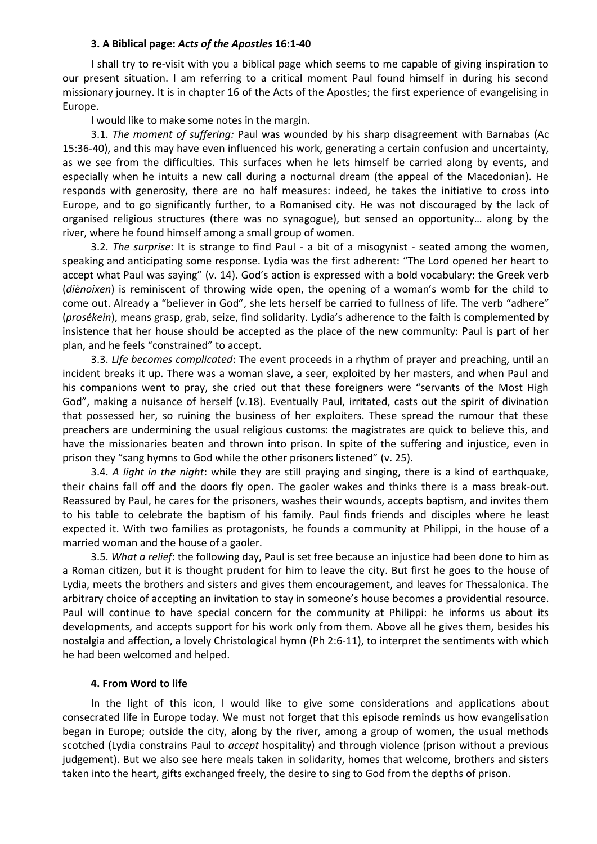# **3. A Biblical page:** *Acts of the Apostles* **16:1-40**

I shall try to re-visit with you a biblical page which seems to me capable of giving inspiration to our present situation. I am referring to a critical moment Paul found himself in during his second missionary journey. It is in chapter 16 of the Acts of the Apostles; the first experience of evangelising in Europe.

I would like to make some notes in the margin.

3.1. *The moment of suffering:* Paul was wounded by his sharp disagreement with Barnabas (Ac 15:36-40), and this may have even influenced his work, generating a certain confusion and uncertainty, as we see from the difficulties. This surfaces when he lets himself be carried along by events, and especially when he intuits a new call during a nocturnal dream (the appeal of the Macedonian). He responds with generosity, there are no half measures: indeed, he takes the initiative to cross into Europe, and to go significantly further, to a Romanised city. He was not discouraged by the lack of organised religious structures (there was no synagogue), but sensed an opportunity… along by the river, where he found himself among a small group of women.

3.2. *The surprise*: It is strange to find Paul - a bit of a misogynist - seated among the women, speaking and anticipating some response. Lydia was the first adherent: "The Lord opened her heart to accept what Paul was saying" (v. 14). God's action is expressed with a bold vocabulary: the Greek verb (*diènoixen*) is reminiscent of throwing wide open, the opening of a woman's womb for the child to come out. Already a "believer in God", she lets herself be carried to fullness of life. The verb "adhere" (*prosékein*), means grasp, grab, seize, find solidarity. Lydia's adherence to the faith is complemented by insistence that her house should be accepted as the place of the new community: Paul is part of her plan, and he feels "constrained" to accept.

3.3. *Life becomes complicated*: The event proceeds in a rhythm of prayer and preaching, until an incident breaks it up. There was a woman slave, a seer, exploited by her masters, and when Paul and his companions went to pray, she cried out that these foreigners were "servants of the Most High God", making a nuisance of herself (v.18). Eventually Paul, irritated, casts out the spirit of divination that possessed her, so ruining the business of her exploiters. These spread the rumour that these preachers are undermining the usual religious customs: the magistrates are quick to believe this, and have the missionaries beaten and thrown into prison. In spite of the suffering and injustice, even in prison they "sang hymns to God while the other prisoners listened" (v. 25).

3.4. *A light in the night*: while they are still praying and singing, there is a kind of earthquake, their chains fall off and the doors fly open. The gaoler wakes and thinks there is a mass break-out. Reassured by Paul, he cares for the prisoners, washes their wounds, accepts baptism, and invites them to his table to celebrate the baptism of his family. Paul finds friends and disciples where he least expected it. With two families as protagonists, he founds a community at Philippi, in the house of a married woman and the house of a gaoler.

3.5. *What a relief*: the following day, Paul is set free because an injustice had been done to him as a Roman citizen, but it is thought prudent for him to leave the city. But first he goes to the house of Lydia, meets the brothers and sisters and gives them encouragement, and leaves for Thessalonica. The arbitrary choice of accepting an invitation to stay in someone's house becomes a providential resource. Paul will continue to have special concern for the community at Philippi: he informs us about its developments, and accepts support for his work only from them. Above all he gives them, besides his nostalgia and affection, a lovely Christological hymn (Ph 2:6-11), to interpret the sentiments with which he had been welcomed and helped.

### **4. From Word to life**

In the light of this icon, I would like to give some considerations and applications about consecrated life in Europe today. We must not forget that this episode reminds us how evangelisation began in Europe; outside the city, along by the river, among a group of women, the usual methods scotched (Lydia constrains Paul to *accept* hospitality) and through violence (prison without a previous judgement). But we also see here meals taken in solidarity, homes that welcome, brothers and sisters taken into the heart, gifts exchanged freely, the desire to sing to God from the depths of prison.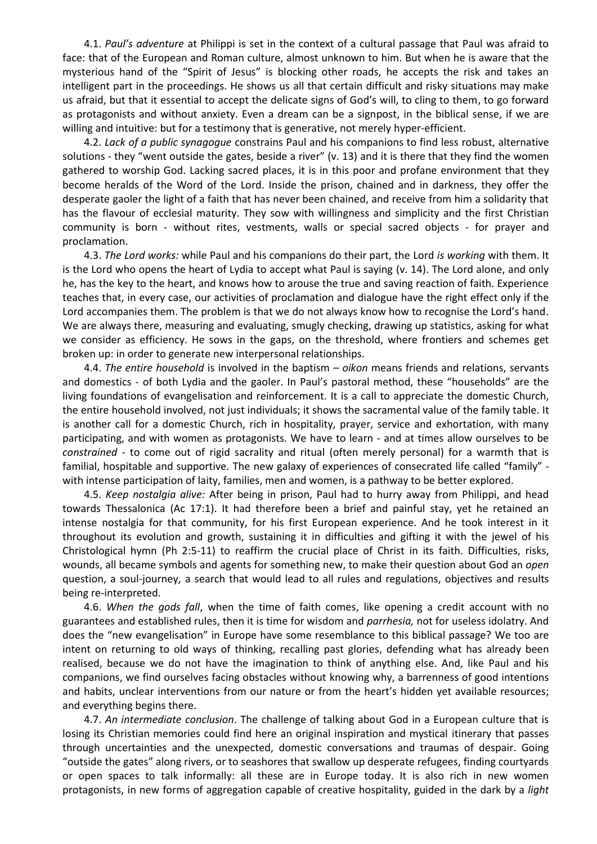4.1. *Paul's adventure* at Philippi is set in the context of a cultural passage that Paul was afraid to face: that of the European and Roman culture, almost unknown to him. But when he is aware that the mysterious hand of the "Spirit of Jesus" is blocking other roads, he accepts the risk and takes an intelligent part in the proceedings. He shows us all that certain difficult and risky situations may make us afraid, but that it essential to accept the delicate signs of God's will, to cling to them, to go forward as protagonists and without anxiety. Even a dream can be a signpost, in the biblical sense, if we are willing and intuitive: but for a testimony that is generative, not merely hyper-efficient.

4.2. *Lack of a public synagogue* constrains Paul and his companions to find less robust, alternative solutions - they "went outside the gates, beside a river" (v. 13) and it is there that they find the women gathered to worship God. Lacking sacred places, it is in this poor and profane environment that they become heralds of the Word of the Lord. Inside the prison, chained and in darkness, they offer the desperate gaoler the light of a faith that has never been chained, and receive from him a solidarity that has the flavour of ecclesial maturity. They sow with willingness and simplicity and the first Christian community is born - without rites, vestments, walls or special sacred objects - for prayer and proclamation.

4.3. *The Lord works:* while Paul and his companions do their part, the Lord *is working* with them. It is the Lord who opens the heart of Lydia to accept what Paul is saying (v. 14). The Lord alone, and only he, has the key to the heart, and knows how to arouse the true and saving reaction of faith. Experience teaches that, in every case, our activities of proclamation and dialogue have the right effect only if the Lord accompanies them. The problem is that we do not always know how to recognise the Lord's hand. We are always there, measuring and evaluating, smugly checking, drawing up statistics, asking for what we consider as efficiency. He sows in the gaps, on the threshold, where frontiers and schemes get broken up: in order to generate new interpersonal relationships.

4.4. *The entire household* is involved in the baptism – *oikon* means friends and relations, servants and domestics - of both Lydia and the gaoler. In Paul's pastoral method, these "households" are the living foundations of evangelisation and reinforcement. It is a call to appreciate the domestic Church, the entire household involved, not just individuals; it shows the sacramental value of the family table. It is another call for a domestic Church, rich in hospitality, prayer, service and exhortation, with many participating, and with women as protagonists. We have to learn - and at times allow ourselves to be *constrained* - to come out of rigid sacrality and ritual (often merely personal) for a warmth that is familial, hospitable and supportive. The new galaxy of experiences of consecrated life called "family" with intense participation of laity, families, men and women, is a pathway to be better explored.

4.5. *Keep nostalgia alive:* After being in prison, Paul had to hurry away from Philippi, and head towards Thessalonica (Ac 17:1). It had therefore been a brief and painful stay, yet he retained an intense nostalgia for that community, for his first European experience. And he took interest in it throughout its evolution and growth, sustaining it in difficulties and gifting it with the jewel of his Christological hymn (Ph 2:5-11) to reaffirm the crucial place of Christ in its faith. Difficulties, risks, wounds, all became symbols and agents for something new, to make their question about God an *open* question, a soul-journey, a search that would lead to all rules and regulations, objectives and results being re-interpreted.

4.6. *When the gods fall*, when the time of faith comes, like opening a credit account with no guarantees and established rules, then it is time for wisdom and *parrhesia,* not for useless idolatry. And does the "new evangelisation" in Europe have some resemblance to this biblical passage? We too are intent on returning to old ways of thinking, recalling past glories, defending what has already been realised, because we do not have the imagination to think of anything else. And, like Paul and his companions, we find ourselves facing obstacles without knowing why, a barrenness of good intentions and habits, unclear interventions from our nature or from the heart's hidden yet available resources; and everything begins there.

4.7. *An intermediate conclusion*. The challenge of talking about God in a European culture that is losing its Christian memories could find here an original inspiration and mystical itinerary that passes through uncertainties and the unexpected, domestic conversations and traumas of despair. Going "outside the gates" along rivers, or to seashores that swallow up desperate refugees, finding courtyards or open spaces to talk informally: all these are in Europe today. It is also rich in new women protagonists, in new forms of aggregation capable of creative hospitality, guided in the dark by a *light*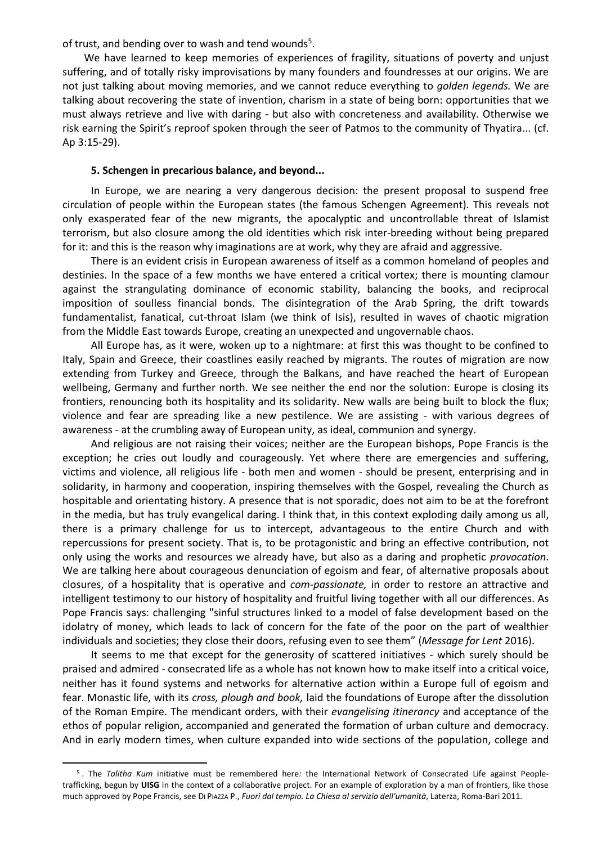of trust, and bending over to wash and tend wounds<sup>5</sup>.

We have learned to keep memories of experiences of fragility, situations of poverty and unjust suffering, and of totally risky improvisations by many founders and foundresses at our origins. We are not just talking about moving memories, and we cannot reduce everything to *golden legends.* We are talking about recovering the state of invention, charism in a state of being born: opportunities that we must always retrieve and live with daring - but also with concreteness and availability. Otherwise we risk earning the Spirit's reproof spoken through the seer of Patmos to the community of Thyatira... (cf. Ap 3:15-29).

## **5. Schengen in precarious balance, and beyond...**

In Europe, we are nearing a very dangerous decision: the present proposal to suspend free circulation of people within the European states (the famous Schengen Agreement). This reveals not only exasperated fear of the new migrants, the apocalyptic and uncontrollable threat of Islamist terrorism, but also closure among the old identities which risk inter-breeding without being prepared for it: and this is the reason why imaginations are at work, why they are afraid and aggressive.

There is an evident crisis in European awareness of itself as a common homeland of peoples and destinies. In the space of a few months we have entered a critical vortex; there is mounting clamour against the strangulating dominance of economic stability, balancing the books, and reciprocal imposition of soulless financial bonds. The disintegration of the Arab Spring, the drift towards fundamentalist, fanatical, cut-throat Islam (we think of Isis), resulted in waves of chaotic migration from the Middle East towards Europe, creating an unexpected and ungovernable chaos.

All Europe has, as it were, woken up to a nightmare: at first this was thought to be confined to Italy, Spain and Greece, their coastlines easily reached by migrants. The routes of migration are now extending from Turkey and Greece, through the Balkans, and have reached the heart of European wellbeing, Germany and further north. We see neither the end nor the solution: Europe is closing its frontiers, renouncing both its hospitality and its solidarity. New walls are being built to block the flux; violence and fear are spreading like a new pestilence. We are assisting - with various degrees of awareness - at the crumbling away of European unity, as ideal, communion and synergy.

And religious are not raising their voices; neither are the European bishops, Pope Francis is the exception; he cries out loudly and courageously. Yet where there are emergencies and suffering, victims and violence, all religious life - both men and women - should be present, enterprising and in solidarity, in harmony and cooperation, inspiring themselves with the Gospel, revealing the Church as hospitable and orientating history. A presence that is not sporadic, does not aim to be at the forefront in the media, but has truly evangelical daring. I think that, in this context exploding daily among us all, there is a primary challenge for us to intercept, advantageous to the entire Church and with repercussions for present society. That is, to be protagonistic and bring an effective contribution, not only using the works and resources we already have, but also as a daring and prophetic *provocation*. We are talking here about courageous denunciation of egoism and fear, of alternative proposals about closures, of a hospitality that is operative and *com-passionate,* in order to restore an attractive and intelligent testimony to our history of hospitality and fruitful living together with all our differences. As Pope Francis says: challenging "sinful structures linked to a model of false development based on the idolatry of money, which leads to lack of concern for the fate of the poor on the part of wealthier individuals and societies; they close their doors, refusing even to see them" (*Message for Lent* 2016).

It seems to me that except for the generosity of scattered initiatives - which surely should be praised and admired - consecrated life as a whole has not known how to make itself into a critical voice, neither has it found systems and networks for alternative action within a Europe full of egoism and fear. Monastic life, with its *cross, plough and book,* laid the foundations of Europe after the dissolution of the Roman Empire. The mendicant orders, with their *evangelising itinerancy* and acceptance of the ethos of popular religion, accompanied and generated the formation of urban culture and democracy. And in early modern times, when culture expanded into wide sections of the population, college and

<sup>5</sup> . The *Talitha Kum* initiative must be remembered here*:* the International Network of Consecrated Life against Peopletrafficking, begun by **UISG** in the context of a collaborative project. For an example of exploration by a man of frontiers, like those much approved by Pope Francis, see DI PIAZZA P., *Fuori dal tempio. La Chiesa al servizio dell'umanità*, Laterza, Roma-Bari 2011.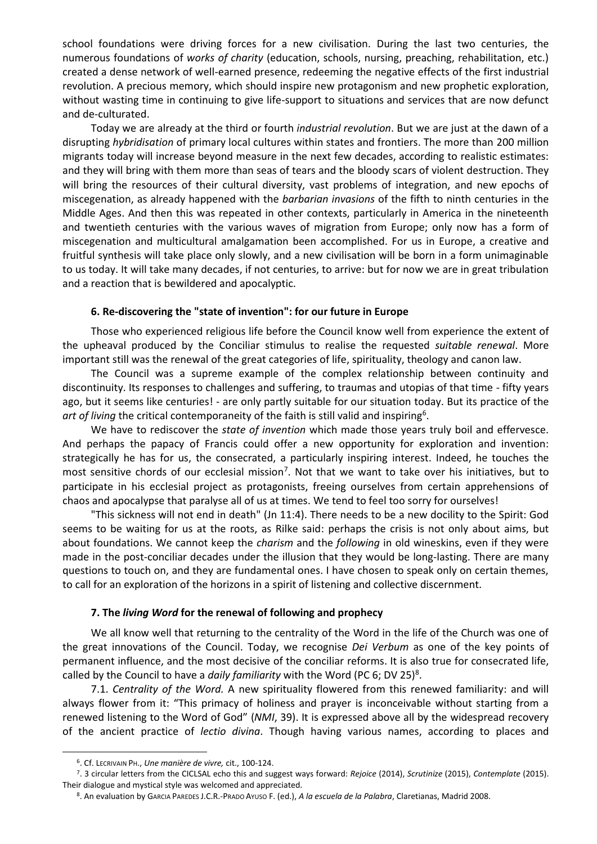school foundations were driving forces for a new civilisation. During the last two centuries, the numerous foundations of *works of charity* (education, schools, nursing, preaching, rehabilitation, etc.) created a dense network of well-earned presence, redeeming the negative effects of the first industrial revolution. A precious memory, which should inspire new protagonism and new prophetic exploration, without wasting time in continuing to give life-support to situations and services that are now defunct and de-culturated.

Today we are already at the third or fourth *industrial revolution*. But we are just at the dawn of a disrupting *hybridisation* of primary local cultures within states and frontiers. The more than 200 million migrants today will increase beyond measure in the next few decades, according to realistic estimates: and they will bring with them more than seas of tears and the bloody scars of violent destruction. They will bring the resources of their cultural diversity, vast problems of integration, and new epochs of miscegenation, as already happened with the *barbarian invasions* of the fifth to ninth centuries in the Middle Ages. And then this was repeated in other contexts, particularly in America in the nineteenth and twentieth centuries with the various waves of migration from Europe; only now has a form of miscegenation and multicultural amalgamation been accomplished. For us in Europe, a creative and fruitful synthesis will take place only slowly, and a new civilisation will be born in a form unimaginable to us today. It will take many decades, if not centuries, to arrive: but for now we are in great tribulation and a reaction that is bewildered and apocalyptic.

# **6. Re-discovering the "state of invention": for our future in Europe**

Those who experienced religious life before the Council know well from experience the extent of the upheaval produced by the Conciliar stimulus to realise the requested *suitable renewal*. More important still was the renewal of the great categories of life, spirituality, theology and canon law.

The Council was a supreme example of the complex relationship between continuity and discontinuity. Its responses to challenges and suffering, to traumas and utopias of that time - fifty years ago, but it seems like centuries! - are only partly suitable for our situation today. But its practice of the art of living the critical [contemporaneity](http://it.bab.la/dizionario/inglese-italiano/contemporaneity) of the faith is still valid and inspiring<sup>6</sup>.

We have to rediscover the *state of invention* which made those years truly boil and effervesce. And perhaps the papacy of Francis could offer a new opportunity for exploration and invention: strategically he has for us, the consecrated, a particularly inspiring interest. Indeed, he touches the most sensitive chords of our ecclesial mission<sup>7</sup>. Not that we want to take over his initiatives, but to participate in his ecclesial project as protagonists, freeing ourselves from certain apprehensions of chaos and apocalypse that paralyse all of us at times. We tend to feel too sorry for ourselves!

"This sickness will not end in death" (Jn 11:4). There needs to be a new docility to the Spirit: God seems to be waiting for us at the roots, as Rilke said: perhaps the crisis is not only about aims, but about foundations. We cannot keep the *charism* and the *following* in old wineskins, even if they were made in the post-conciliar decades under the illusion that they would be long-lasting. There are many questions to touch on, and they are fundamental ones. I have chosen to speak only on certain themes, to call for an exploration of the horizons in a spirit of listening and collective discernment.

# **7. The** *living Word* **for the renewal of following and prophecy**

We all know well that returning to the centrality of the Word in the life of the Church was one of the great innovations of the Council. Today, we recognise *Dei Verbum* as one of the key points of permanent influence, and the most decisive of the conciliar reforms. It is also true for consecrated life, called by the Council to have a *daily familiarity* with the Word (PC 6; DV 25)<sup>8</sup>.

7.1. *Centrality of the Word.* A new spirituality flowered from this renewed familiarity: and will always flower from it: "This primacy of holiness and prayer is inconceivable without starting from a renewed listening to the Word of God" (*NMI*, 39). It is expressed above all by the widespread recovery of the ancient practice of *lectio divina*. Though having various names, according to places and

<sup>6</sup> . Cf. LECRIVAIN PH., *Une manière de vivre,* cit., 100-124.

<sup>7</sup> . 3 circular letters from the CICLSAL echo this and suggest ways forward: *Rejoice* (2014), *Scrutinize* (2015), *Contemplate* (2015). Their dialogue and mystical style was welcomed and appreciated.

<sup>8</sup> . An evaluation by GARCIA PAREDES J.C.R.-PRADO AYUSO F. (ed.), *A la escuela de la Palabra*, Claretianas, Madrid 2008.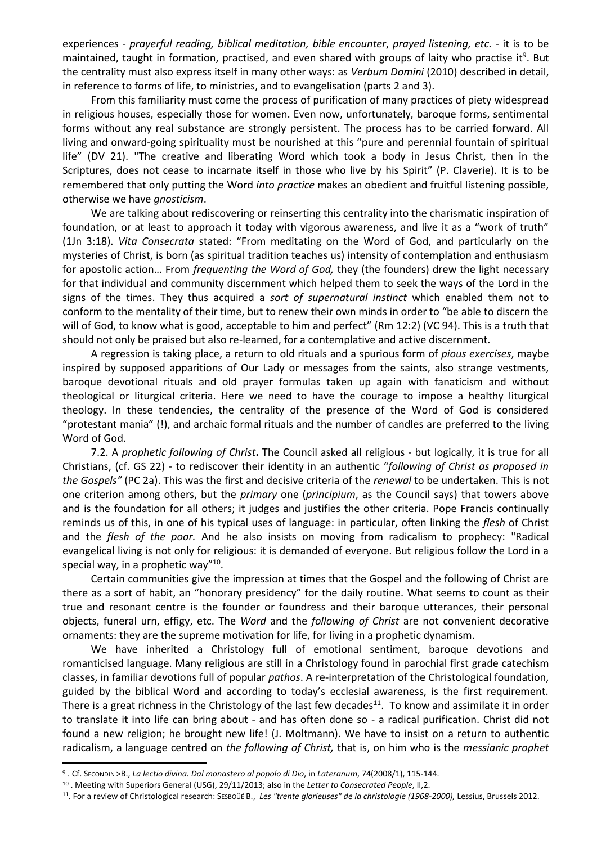experiences - *prayerful reading, biblical meditation, bible encounter*, *prayed listening, etc.* - it is to be maintained, taught in formation, practised, and even shared with groups of laity who practise it<sup>9</sup>. But the centrality must also express itself in many other ways: as *Verbum Domini* (2010) described in detail, in reference to forms of life, to ministries, and to evangelisation (parts 2 and 3).

From this familiarity must come the process of purification of many practices of piety widespread in religious houses, especially those for women. Even now, unfortunately, baroque forms, sentimental forms without any real substance are strongly persistent. The process has to be carried forward. All living and onward-going spirituality must be nourished at this "pure and perennial fountain of spiritual life" (DV 21). "The creative and liberating Word which took a body in Jesus Christ, then in the Scriptures, does not cease to incarnate itself in those who live by his Spirit" (P. Claverie). It is to be remembered that only putting the Word *into practice* makes an obedient and fruitful listening possible, otherwise we have *gnosticism*.

We are talking about rediscovering or reinserting this centrality into the charismatic inspiration of foundation, or at least to approach it today with vigorous awareness, and live it as a "work of truth" (1Jn 3:18). *Vita Consecrata* stated: "From meditating on the Word of God, and particularly on the mysteries of Christ, is born (as spiritual tradition teaches us) intensity of contemplation and enthusiasm for apostolic action… From *frequenting the Word of God,* they (the founders) drew the light necessary for that individual and community discernment which helped them to seek the ways of the Lord in the signs of the times. They thus acquired a *sort of supernatural instinct* which enabled them not to conform to the mentality of their time, but to renew their own minds in order to "be able to discern the will of God, to know what is good, acceptable to him and perfect" (Rm 12:2) (VC 94). This is a truth that should not only be praised but also re-learned, for a contemplative and active discernment.

A regression is taking place, a return to old rituals and a spurious form of *pious exercises*, maybe inspired by supposed apparitions of Our Lady or messages from the saints, also strange vestments, baroque devotional rituals and old prayer formulas taken up again with fanaticism and without theological or liturgical criteria. Here we need to have the courage to impose a healthy liturgical theology. In these tendencies, the centrality of the presence of the Word of God is considered "protestant mania" (!), and archaic formal rituals and the number of candles are preferred to the living Word of God.

7.2. A *prophetic following of Christ***.** The Council asked all religious - but logically, it is true for all Christians, (cf. GS 22) - to rediscover their identity in an authentic "*following of Christ as proposed in the Gospels"* (PC 2a). This was the first and decisive criteria of the *renewal* to be undertaken. This is not one criterion among others, but the *primary* one (*principium*, as the Council says) that towers above and is the foundation for all others; it judges and justifies the other criteria. Pope Francis continually reminds us of this, in one of his typical uses of language: in particular, often linking the *flesh* of Christ and the *flesh of the poor.* And he also insists on moving from radicalism to prophecy: "Radical evangelical living is not only for religious: it is demanded of everyone. But religious follow the Lord in a special way, in a prophetic way"<sup>10</sup>.

Certain communities give the impression at times that the Gospel and the following of Christ are there as a sort of habit, an "honorary presidency" for the daily routine. What seems to count as their true and resonant centre is the founder or foundress and their baroque utterances, their personal objects, funeral urn, effigy, etc. The *Word* and the *following of Christ* are not convenient decorative ornaments: they are the supreme motivation for life, for living in a prophetic dynamism.

We have inherited a Christology full of emotional sentiment, baroque devotions and romanticised language. Many religious are still in a Christology found in parochial first grade catechism classes, in familiar devotions full of popular *pathos*. A re-interpretation of the Christological foundation, guided by the biblical Word and according to today's ecclesial awareness, is the first requirement. There is a great richness in the Christology of the last few decades<sup>11</sup>. To know and assimilate it in order to translate it into life can bring about - and has often done so - a radical purification. Christ did not found a new religion; he brought new life! (J. Moltmann). We have to insist on a return to authentic radicalism, a language centred on *the following of Christ,* that is, on him who is the *messianic prophet* 

<sup>9</sup> . Cf. SECONDIN >B., *La lectio divina. Dal monastero al popolo di Dio*, in *Lateranum*, 74(2008/1), 115-144.

<sup>10</sup> . Meeting with Superiors General (USG), 29/11/2013; also in the *Letter to Consecrated People*, II,2.

<sup>11</sup> . For a review of Christological research: SESBOÜÉ B., *Les "trente glorieuses" de la christologie (1968-2000),* Lessius, Brussels 2012.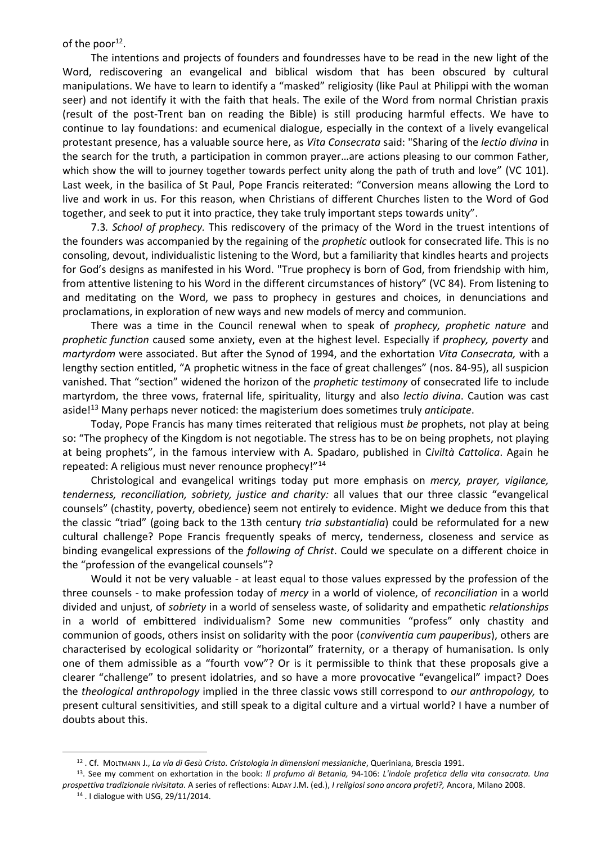of the poor $^{12}$ .

The intentions and projects of founders and foundresses have to be read in the new light of the Word, rediscovering an evangelical and biblical wisdom that has been obscured by cultural manipulations. We have to learn to identify a "masked" religiosity (like Paul at Philippi with the woman seer) and not identify it with the faith that heals. The exile of the Word from normal Christian praxis (result of the post-Trent ban on reading the Bible) is still producing harmful effects. We have to continue to lay foundations: and ecumenical dialogue, especially in the context of a lively evangelical protestant presence, has a valuable source here, as *Vita Consecrata* said: "Sharing of the *lectio divina* in the search for the truth, a participation in common prayer…are actions pleasing to our common Father, which show the will to journey together towards perfect unity along the path of truth and love" (VC 101). Last week, in the basilica of St Paul, Pope Francis reiterated: "Conversion means allowing the Lord to live and work in us. For this reason, when Christians of different Churches listen to the Word of God together, and seek to put it into practice, they take truly important steps towards unity".

7.3*. School of prophecy.* This rediscovery of the primacy of the Word in the truest intentions of the founders was accompanied by the regaining of the *prophetic* outlook for consecrated life. This is no consoling, devout, individualistic listening to the Word, but a familiarity that kindles hearts and projects for God's designs as manifested in his Word. "True prophecy is born of God, from friendship with him, from attentive listening to his Word in the different circumstances of history" (VC 84). From listening to and meditating on the Word, we pass to prophecy in gestures and choices, in denunciations and proclamations, in exploration of new ways and new models of mercy and communion.

There was a time in the Council renewal when to speak of *prophecy, prophetic nature* and *prophetic function* caused some anxiety, even at the highest level. Especially if *prophecy, poverty* and *martyrdom* were associated. But after the Synod of 1994, and the exhortation *Vita Consecrata,* with a lengthy section entitled, "A prophetic witness in the face of great challenges" (nos. 84-95), all suspicion vanished. That "section" widened the horizon of the *prophetic testimony* of consecrated life to include martyrdom, the three vows, fraternal life, spirituality, liturgy and also *lectio divina*. Caution was cast aside!<sup>13</sup> Many perhaps never noticed: the magisterium does sometimes truly *anticipate*.

Today, Pope Francis has many times reiterated that religious must *be* prophets, not play at being so: "The prophecy of the Kingdom is not negotiable. The stress has to be on being prophets, not playing at being prophets", in the famous interview with A. Spadaro, published in C*iviltà Cattolica*. Again he repeated: A religious must never renounce prophecy!"<sup>14</sup>

Christological and evangelical writings today put more emphasis on *mercy, prayer, vigilance, tenderness, reconciliation, sobriety, justice and charity:* all values that our three classic "evangelical counsels" (chastity, poverty, obedience) seem not entirely to evidence. Might we deduce from this that the classic "triad" (going back to the 13th century *tria substantialia*) could be reformulated for a new cultural challenge? Pope Francis frequently speaks of mercy, tenderness, closeness and service as binding evangelical expressions of the *following of Christ*. Could we speculate on a different choice in the "profession of the evangelical counsels"?

Would it not be very valuable - at least equal to those values expressed by the profession of the three counsels - to make profession today of *mercy* in a world of violence, of *reconciliation* in a world divided and unjust, of *sobriety* in a world of senseless waste, of solidarity and empathetic *relationships* in a world of embittered individualism? Some new communities "profess" only chastity and communion of goods, others insist on solidarity with the poor (*conviventia cum pauperibus*), others are characterised by ecological solidarity or "horizontal" fraternity, or a therapy of humanisation. Is only one of them admissible as a "fourth vow"? Or is it permissible to think that these proposals give a clearer "challenge" to present idolatries, and so have a more provocative "evangelical" impact? Does the *theological anthropology* implied in the three classic vows still correspond to *our anthropology,* to present cultural sensitivities, and still speak to a digital culture and a virtual world? I have a number of doubts about this.

<sup>12</sup> . Cf. MOLTMANN J., *La via di Gesù Cristo. Cristologia in dimensioni messianiche*, Queriniana, Brescia 1991.

<sup>13</sup> . See my comment on exhortation in the book: *Il profumo di Betania,* 94-106: *L'indole profetica della vita consacrata. Una prospettiva tradizionale rivisitata.* A series of reflections: ALDAY J.M. (ed.), *I religiosi sono ancora profeti?,* Ancora, Milano 2008.

<sup>14</sup> . I dialogue with USG, 29/11/2014.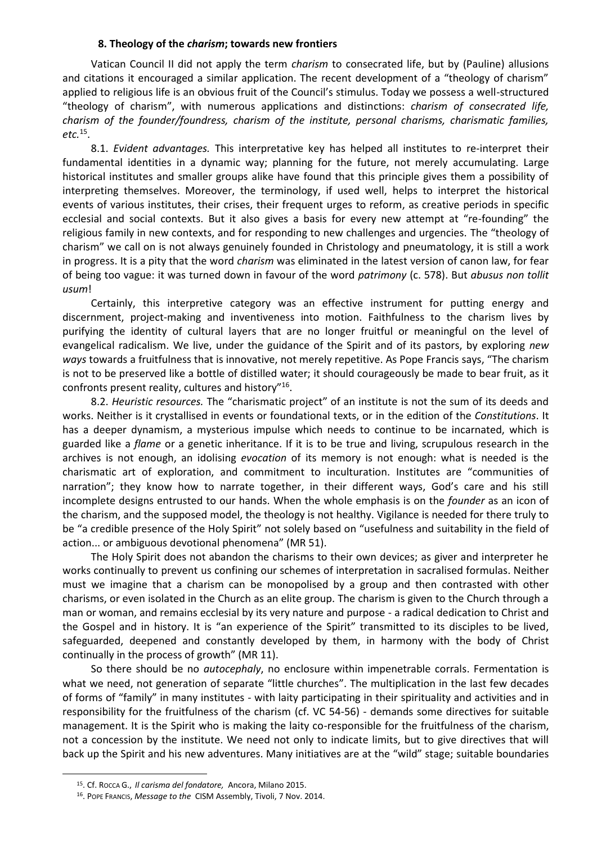# **8. Theology of the** *charism***; towards new frontiers**

Vatican Council II did not apply the term *charism* to consecrated life, but by (Pauline) allusions and citations it encouraged a similar application. The recent development of a "theology of charism" applied to religious life is an obvious fruit of the Council's stimulus. Today we possess a well-structured "theology of charism", with numerous applications and distinctions: *charism of consecrated life, charism of the founder/foundress, charism of the institute, personal charisms, charismatic families, etc.*<sup>15</sup> .

8.1. *Evident advantages.* This interpretative key has helped all institutes to re-interpret their fundamental identities in a dynamic way; planning for the future, not merely accumulating. Large historical institutes and smaller groups alike have found that this principle gives them a possibility of interpreting themselves. Moreover, the terminology, if used well, helps to interpret the historical events of various institutes, their crises, their frequent urges to reform, as creative periods in specific ecclesial and social contexts. But it also gives a basis for every new attempt at "re-founding" the religious family in new contexts, and for responding to new challenges and urgencies. The "theology of charism" we call on is not always genuinely founded in Christology and pneumatology, it is still a work in progress. It is a pity that the word *charism* was eliminated in the latest version of canon law, for fear of being too vague: it was turned down in favour of the word *patrimony* (c. 578). But *abusus non tollit usum*!

Certainly, this interpretive category was an effective instrument for putting energy and discernment, project-making and inventiveness into motion. Faithfulness to the charism lives by purifying the identity of cultural layers that are no longer fruitful or meaningful on the level of evangelical radicalism. We live, under the guidance of the Spirit and of its pastors, by exploring *new ways* towards a fruitfulness that is innovative, not merely repetitive. As Pope Francis says, "The charism is not to be preserved like a bottle of distilled water; it should courageously be made to bear fruit, as it confronts present reality, cultures and history"<sup>16</sup> .

8.2. *Heuristic resources.* The "charismatic project" of an institute is not the sum of its deeds and works. Neither is it crystallised in events or foundational texts, or in the edition of the *Constitutions*. It has a deeper dynamism, a mysterious impulse which needs to continue to be incarnated, which is guarded like a *flame* or a genetic inheritance. If it is to be true and living, scrupulous research in the archives is not enough, an idolising *evocation* of its memory is not enough: what is needed is the charismatic art of exploration, and commitment to inculturation. Institutes are "communities of narration"; they know how to narrate together, in their different ways, God's care and his still incomplete designs entrusted to our hands. When the whole emphasis is on the *founder* as an icon of the charism, and the supposed model, the theology is not healthy. Vigilance is needed for there truly to be "a credible presence of the Holy Spirit" not solely based on "usefulness and suitability in the field of action... or ambiguous devotional phenomena" (MR 51).

The Holy Spirit does not abandon the charisms to their own devices; as giver and interpreter he works continually to prevent us confining our schemes of interpretation in sacralised formulas. Neither must we imagine that a charism can be monopolised by a group and then contrasted with other charisms, or even isolated in the Church as an elite group. The charism is given to the Church through a man or woman, and remains ecclesial by its very nature and purpose - a radical dedication to Christ and the Gospel and in history. It is "an experience of the Spirit" transmitted to its disciples to be lived, safeguarded, deepened and constantly developed by them, in harmony with the body of Christ continually in the process of growth" (MR 11).

So there should be no *autocephaly*, no enclosure within impenetrable corrals. Fermentation is what we need, not generation of separate "little churches". The multiplication in the last few decades of forms of "family" in many institutes - with laity participating in their spirituality and activities and in responsibility for the fruitfulness of the charism (cf. VC 54-56) - demands some directives for suitable management. It is the Spirit who is making the laity co-responsible for the fruitfulness of the charism, not a concession by the institute. We need not only to indicate limits, but to give directives that will back up the Spirit and his new adventures. Many initiatives are at the "wild" stage; suitable boundaries

 $\overline{\phantom{a}}$ 

<sup>15</sup>. Cf. ROCCA G., *Il carisma del fondatore,* Ancora, Milano 2015.

<sup>16</sup> . POPE FRANCIS, *Message to the* CISM Assembly, Tivoli, 7 Nov. 2014.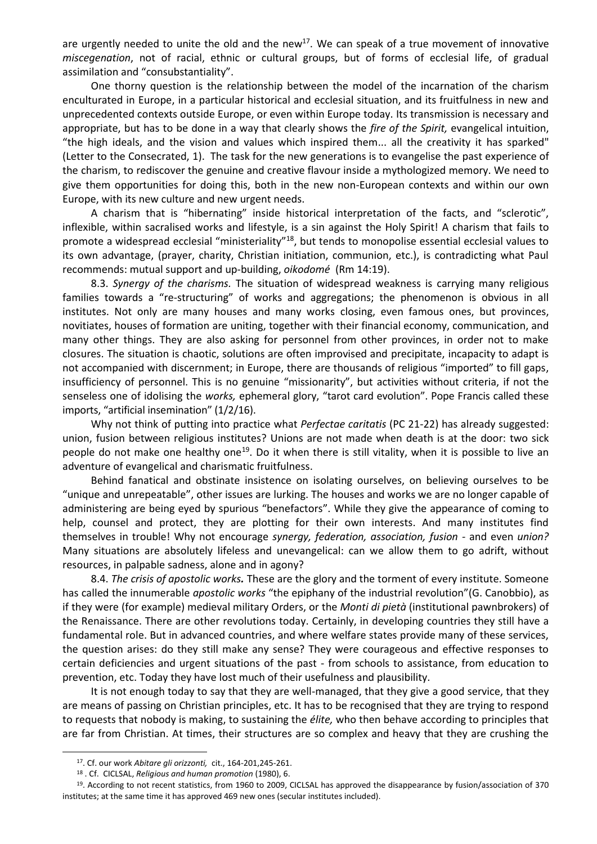are urgently needed to unite the old and the new<sup>17</sup>. We can speak of a true movement of innovative *miscegenation*, not of racial, ethnic or cultural groups, but of forms of ecclesial life, of gradual assimilation and "consubstantiality".

One thorny question is the relationship between the model of the incarnation of the charism enculturated in Europe, in a particular historical and ecclesial situation, and its fruitfulness in new and unprecedented contexts outside Europe, or even within Europe today. Its transmission is necessary and appropriate, but has to be done in a way that clearly shows the *fire of the Spirit,* evangelical intuition, "the high ideals, and the vision and values which inspired them... all the creativity it has sparked" (Letter to the Consecrated, 1). The task for the new generations is to evangelise the past experience of the charism, to rediscover the genuine and creative flavour inside a mythologized memory. We need to give them opportunities for doing this, both in the new non-European contexts and within our own Europe, with its new culture and new urgent needs.

A charism that is "hibernating" inside historical interpretation of the facts, and "sclerotic", inflexible, within sacralised works and lifestyle, is a sin against the Holy Spirit! A charism that fails to promote a widespread ecclesial "ministeriality"<sup>18</sup>, but tends to monopolise essential ecclesial values to its own advantage, (prayer, charity, Christian initiation, communion, etc.), is contradicting what Paul recommends: mutual support and up-building, *oikodomé* (Rm 14:19).

8.3. *Synergy of the charisms.* The situation of widespread weakness is carrying many religious families towards a "re-structuring" of works and aggregations; the phenomenon is obvious in all institutes. Not only are many houses and many works closing, even famous ones, but provinces, novitiates, houses of formation are uniting, together with their financial economy, communication, and many other things. They are also asking for personnel from other provinces, in order not to make closures. The situation is chaotic, solutions are often improvised and precipitate, incapacity to adapt is not accompanied with discernment; in Europe, there are thousands of religious "imported" to fill gaps, insufficiency of personnel. This is no genuine "missionarity", but activities without criteria, if not the senseless one of idolising the *works,* ephemeral glory, "tarot card evolution". Pope Francis called these imports, "artificial insemination" (1/2/16).

Why not think of putting into practice what *Perfectae caritatis* (PC 21-22) has already suggested: union, fusion between religious institutes? Unions are not made when death is at the door: two sick people do not make one healthy one<sup>19</sup>. Do it when there is still vitality, when it is possible to live an adventure of evangelical and charismatic fruitfulness.

Behind fanatical and obstinate insistence on isolating ourselves, on believing ourselves to be "unique and unrepeatable", other issues are lurking. The houses and works we are no longer capable of administering are being eyed by spurious "benefactors". While they give the appearance of coming to help, counsel and protect, they are plotting for their own interests. And many institutes find themselves in trouble! Why not encourage *synergy, federation, association, fusion -* and even *union?* Many situations are absolutely lifeless and unevangelical: can we allow them to go adrift, without resources, in palpable sadness, alone and in agony?

8.4. *The crisis of apostolic works.* These are the glory and the torment of every institute. Someone has called the innumerable *apostolic works* "the epiphany of the industrial revolution"(G. Canobbio), as if they were (for example) medieval military Orders, or the *Monti di pietà* (institutional pawnbrokers) of the Renaissance. There are other revolutions today. Certainly, in developing countries they still have a fundamental role. But in advanced countries, and where welfare states provide many of these services, the question arises: do they still make any sense? They were courageous and effective responses to certain deficiencies and urgent situations of the past - from schools to assistance, from education to prevention, etc. Today they have lost much of their usefulness and plausibility.

It is not enough today to say that they are well-managed, that they give a good service, that they are means of passing on Christian principles, etc. It has to be recognised that they are trying to respond to requests that nobody is making, to sustaining the *élite,* who then behave according to principles that are far from Christian. At times, their structures are so complex and heavy that they are crushing the

<sup>17</sup>. Cf. our work *Abitare gli orizzonti,* cit., 164-201,245-261.

<sup>18</sup> . Cf. CICLSAL, *Religious and human promotion* (1980), 6.

<sup>19</sup> . According to not recent statistics, from 1960 to 2009, CICLSAL has approved the disappearance by fusion/association of 370 institutes; at the same time it has approved 469 new ones (secular institutes included).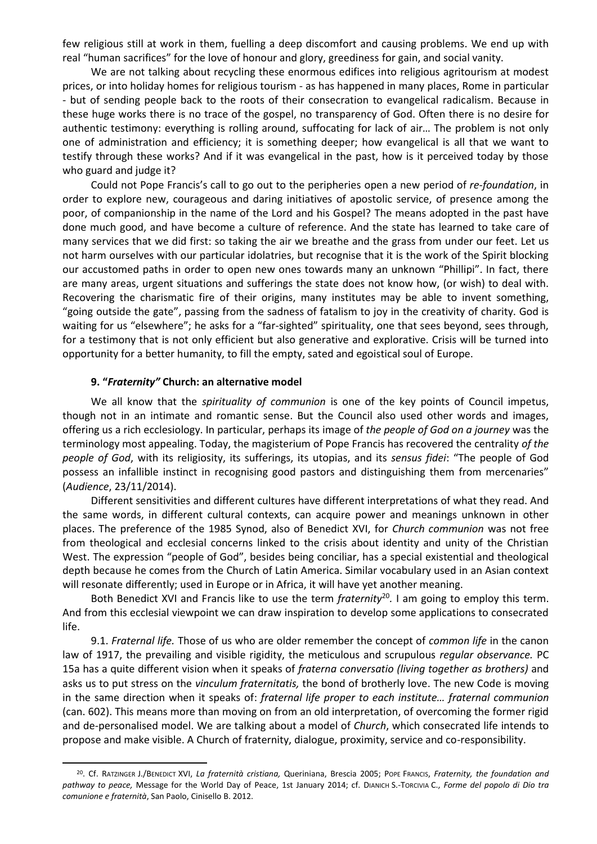few religious still at work in them, fuelling a deep discomfort and causing problems. We end up with real "human sacrifices" for the love of honour and glory, greediness for gain, and social vanity.

We are not talking about recycling these enormous edifices into religious agritourism at modest prices, or into holiday homes for religious tourism - as has happened in many places, Rome in particular - but of sending people back to the roots of their consecration to evangelical radicalism. Because in these huge works there is no trace of the gospel, no transparency of God. Often there is no desire for authentic testimony: everything is rolling around, suffocating for lack of air… The problem is not only one of administration and efficiency; it is something deeper; how evangelical is all that we want to testify through these works? And if it was evangelical in the past, how is it perceived today by those who guard and judge it?

Could not Pope Francis's call to go out to the peripheries open a new period of *re*-*foundation*, in order to explore new, courageous and daring initiatives of apostolic service, of presence among the poor, of companionship in the name of the Lord and his Gospel? The means adopted in the past have done much good, and have become a culture of reference. And the state has learned to take care of many services that we did first: so taking the air we breathe and the grass from under our feet. Let us not harm ourselves with our particular idolatries, but recognise that it is the work of the Spirit blocking our accustomed paths in order to open new ones towards many an unknown "Phillipi". In fact, there are many areas, urgent situations and sufferings the state does not know how, (or wish) to deal with. Recovering the charismatic fire of their origins, many institutes may be able to invent something, "going outside the gate", passing from the sadness of fatalism to joy in the creativity of charity. God is waiting for us "elsewhere"; he asks for a "far-sighted" spirituality, one that sees beyond, sees through, for a testimony that is not only efficient but also generative and explorative. Crisis will be turned into opportunity for a better humanity, to fill the empty, sated and egoistical soul of Europe.

### **9. "***Fraternity"* **Church: an alternative model**

 $\overline{a}$ 

We all know that the *spirituality of communion* is one of the key points of Council impetus, though not in an intimate and romantic sense. But the Council also used other words and images, offering us a rich ecclesiology. In particular, perhaps its image of *the people of God on a journey* was the terminology most appealing. Today, the magisterium of Pope Francis has recovered the centrality *of the people of God*, with its religiosity, its sufferings, its utopias, and its *sensus fidei*: "The people of God possess an infallible instinct in recognising good pastors and distinguishing them from mercenaries" (*Audience*, 23/11/2014).

Different sensitivities and different cultures have different interpretations of what they read. And the same words, in different cultural contexts, can acquire power and meanings unknown in other places. The preference of the 1985 Synod, also of Benedict XVI, for *Church communion* was not free from theological and ecclesial concerns linked to the crisis about identity and unity of the Christian West. The expression "people of God", besides being conciliar, has a special existential and theological depth because he comes from the Church of Latin America. Similar vocabulary used in an Asian context will resonate differently; used in Europe or in Africa, it will have yet another meaning.

Both Benedict XVI and Francis like to use the term *fraternity*<sup>20</sup>. I am going to employ this term. And from this ecclesial viewpoint we can draw inspiration to develop some applications to consecrated life.

9.1. *Fraternal life.* Those of us who are older remember the concept of *common life* in the canon law of 1917, the prevailing and visible rigidity, the meticulous and scrupulous *regular observance.* PC 15a has a quite different vision when it speaks of *fraterna conversatio (living together as brothers)* and asks us to put stress on the *vinculum fraternitatis,* the bond of brotherly love. The new Code is moving in the same direction when it speaks of: *fraternal life proper to each institute… fraternal communion* (can. 602). This means more than moving on from an old interpretation, of overcoming the former rigid and de-personalised model. We are talking about a model of *Church*, which consecrated life intends to propose and make visible. A Church of fraternity, dialogue, proximity, service and co-responsibility.

<sup>20</sup>. Cf. RATZINGER J./BENEDICT XVI, *La fraternità cristiana,* Queriniana, Brescia 2005; POPE FRANCIS, *Fraternity, the foundation and pathway to peace,* Message for the World Day of Peace, 1st January 2014; cf. DIANICH S.-TORCIVIA C., *Forme del popolo di Dio tra comunione e fraternità*, San Paolo, Cinisello B. 2012.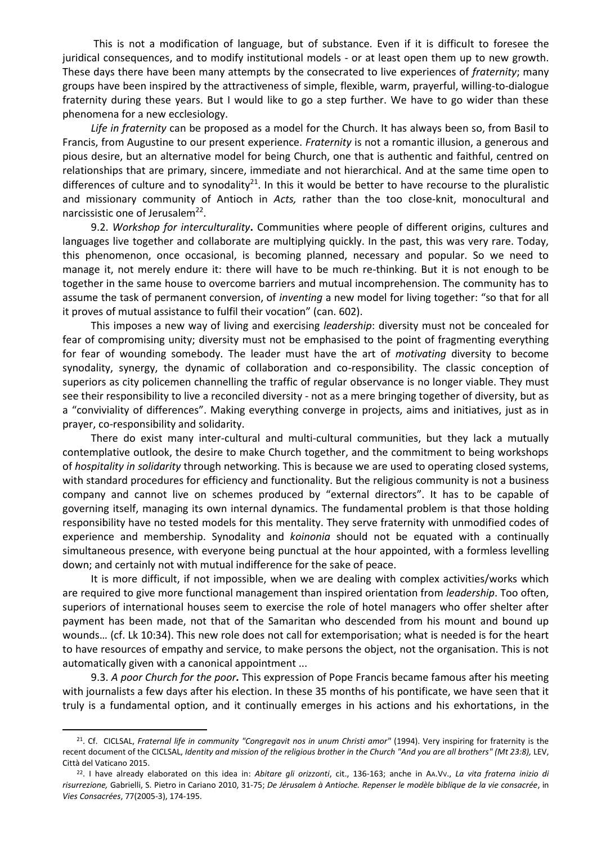This is not a modification of language, but of substance. Even if it is difficult to foresee the juridical consequences, and to modify institutional models - or at least open them up to new growth. These days there have been many attempts by the consecrated to live experiences of *fraternity*; many groups have been inspired by the attractiveness of simple, flexible, warm, prayerful, willing-to-dialogue fraternity during these years. But I would like to go a step further. We have to go wider than these phenomena for a new ecclesiology.

*Life in fraternity* can be proposed as a model for the Church. It has always been so, from Basil to Francis, from Augustine to our present experience. *Fraternity* is not a romantic illusion, a generous and pious desire, but an alternative model for being Church, one that is authentic and faithful, centred on relationships that are primary, sincere, immediate and not hierarchical. And at the same time open to differences of culture and to synodality<sup>21</sup>. In this it would be better to have recourse to the pluralistic and missionary community of Antioch in *Acts,* rather than the too close-knit, monocultural and narcissistic one of Jerusalem<sup>22</sup>.

9.2. *Workshop for interculturality***.** Communities where people of different origins, cultures and languages live together and collaborate are multiplying quickly. In the past, this was very rare. Today, this phenomenon, once occasional, is becoming planned, necessary and popular. So we need to manage it, not merely endure it: there will have to be much re-thinking. But it is not enough to be together in the same house to overcome barriers and mutual incomprehension. The community has to assume the task of permanent conversion, of *inventing* a new model for living together: "so that for all it proves of mutual assistance to fulfil their vocation" (can. 602).

This imposes a new way of living and exercising *leadership*: diversity must not be concealed for fear of compromising unity; diversity must not be emphasised to the point of fragmenting everything for fear of wounding somebody. The leader must have the art of *motivating* diversity to become synodality, synergy, the dynamic of collaboration and co-responsibility. The classic conception of superiors as city policemen channelling the traffic of regular observance is no longer viable. They must see their responsibility to live a reconciled diversity - not as a mere bringing together of diversity, but as a "conviviality of differences". Making everything converge in projects, aims and initiatives, just as in prayer, co-responsibility and solidarity.

There do exist many inter-cultural and multi-cultural communities, but they lack a mutually contemplative outlook, the desire to make Church together, and the commitment to being workshops of *hospitality in solidarity* through networking. This is because we are used to operating closed systems, with standard procedures for efficiency and functionality. But the religious community is not a business company and cannot live on schemes produced by "external directors". It has to be capable of governing itself, managing its own internal dynamics. The fundamental problem is that those holding responsibility have no tested models for this mentality. They serve fraternity with unmodified codes of experience and membership. Synodality and *koinonia* should not be equated with a continually simultaneous presence, with everyone being punctual at the hour appointed, with a formless levelling down; and certainly not with mutual indifference for the sake of peace.

It is more difficult, if not impossible, when we are dealing with complex activities/works which are required to give more functional management than inspired orientation from *leadership*. Too often, superiors of international houses seem to exercise the role of hotel managers who offer shelter after payment has been made, not that of the Samaritan who descended from his mount and bound up wounds… (cf. Lk 10:34). This new role does not call for extemporisation; what is needed is for the heart to have resources of empathy and service, to make persons the object, not the organisation. This is not automatically given with a canonical appointment ...

9.3. *A poor Church for the poor.* This expression of Pope Francis became famous after his meeting with journalists a few days after his election. In these 35 months of his pontificate, we have seen that it truly is a fundamental option, and it continually emerges in his actions and his exhortations, in the

<sup>21</sup>. Cf. CICLSAL, *Fraternal life in community "Congregavit nos in unum Christi amor"* (1994). Very inspiring for fraternity is the recent document of the CICLSAL, *Identity and mission of the religious brother in the Church "And you are all brothers" (Mt 23:8),* LEV, Città del Vaticano 2015.

<sup>22</sup> . I have already elaborated on this idea in: *Abitare gli orizzonti*, cit., 136-163; anche in AA.VV., *La vita fraterna inizio di risurrezione,* Gabrielli, S. Pietro in Cariano 2010, 31-75; *De Jérusalem à Antioche. Repenser le modèle biblique de la vie consacrée*, in *Vies Consacrées*, 77(2005-3), 174-195.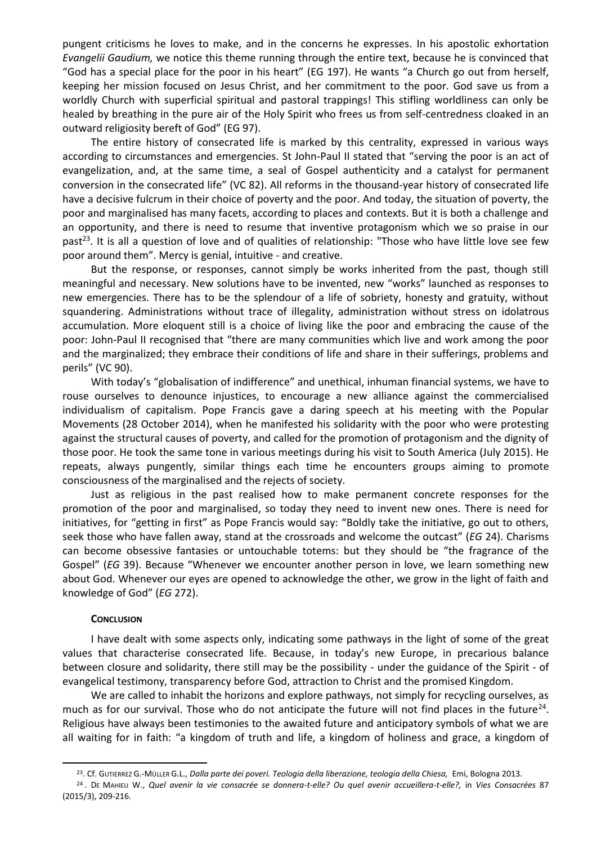pungent criticisms he loves to make, and in the concerns he expresses. In his apostolic exhortation *Evangelii Gaudium,* we notice this theme running through the entire text, because he is convinced that "God has a special place for the poor in his heart" (EG 197). He wants "a Church go out from herself, keeping her mission focused on Jesus Christ, and her commitment to the poor. God save us from a worldly Church with superficial spiritual and pastoral trappings! This stifling worldliness can only be healed by breathing in the pure air of the Holy Spirit who frees us from self-centredness cloaked in an outward religiosity bereft of God" (EG 97).

The entire history of consecrated life is marked by this centrality, expressed in various ways according to circumstances and emergencies. St John-Paul II stated that "serving the poor is an act of evangelization, and, at the same time, a seal of Gospel authenticity and a catalyst for permanent conversion in the consecrated life" (VC 82). All reforms in the thousand-year history of consecrated life have a decisive fulcrum in their choice of poverty and the poor. And today, the situation of poverty, the poor and marginalised has many facets, according to places and contexts. But it is both a challenge and an opportunity, and there is need to resume that inventive protagonism which we so praise in our past<sup>23</sup>. It is all a question of love and of qualities of relationship: "Those who have little love see few poor around them". Mercy is genial, intuitive - and creative.

But the response, or responses, cannot simply be works inherited from the past, though still meaningful and necessary. New solutions have to be invented, new "works" launched as responses to new emergencies. There has to be the splendour of a life of sobriety, honesty and gratuity, without squandering. Administrations without trace of illegality, administration without stress on idolatrous accumulation. More eloquent still is a choice of living like the poor and embracing the cause of the poor: John-Paul II recognised that "there are many communities which live and work among the poor and the marginalized; they embrace their conditions of life and share in their sufferings, problems and perils" (VC 90).

With today's "globalisation of indifference" and unethical, inhuman financial systems, we have to rouse ourselves to denounce injustices, to encourage a new alliance against the commercialised individualism of capitalism. Pope Francis gave a daring speech at his meeting with the Popular Movements (28 October 2014), when he manifested his solidarity with the poor who were protesting against the structural causes of poverty, and called for the promotion of protagonism and the dignity of those poor. He took the same tone in various meetings during his visit to South America (July 2015). He repeats, always pungently, similar things each time he encounters groups aiming to promote consciousness of the marginalised and the rejects of society.

Just as religious in the past realised how to make permanent concrete responses for the promotion of the poor and marginalised, so today they need to invent new ones. There is need for initiatives, for "getting in first" as Pope Francis would say: "Boldly take the initiative, go out to others, seek those who have fallen away, stand at the crossroads and welcome the outcast" (*EG* 24). Charisms can become obsessive fantasies or untouchable totems: but they should be "the fragrance of the Gospel" (*EG* 39). Because "Whenever we encounter another person in love, we learn something new about God. Whenever our eyes are opened to acknowledge the other, we grow in the light of faith and knowledge of God" (*EG* 272).

### **CONCLUSION**

 $\overline{a}$ 

I have dealt with some aspects only, indicating some pathways in the light of some of the great values that characterise consecrated life. Because, in today's new Europe, in precarious balance between closure and solidarity, there still may be the possibility - under the guidance of the Spirit - of evangelical testimony, transparency before God, attraction to Christ and the promised Kingdom.

We are called to inhabit the horizons and explore pathways, not simply for recycling ourselves, as much as for our survival. Those who do not anticipate the future will not find places in the future<sup>24</sup>. Religious have always been testimonies to the awaited future and anticipatory symbols of what we are all waiting for in faith: "a kingdom of truth and life, a kingdom of holiness and grace, a kingdom of

<sup>23</sup>. Cf. GUTIERREZ G.-MÜLLER G.L., *Dalla parte dei poveri. Teologia della liberazione, teologia della Chiesa,* Emi, Bologna 2013.

<sup>24</sup> . DE MAHIEU W., *Quel avenir la vie consacrée se donnera-t-elle? Ou quel avenir accueillera-t-elle?,* in *Vies Consacrées* 87 (2015/3), 209-216.